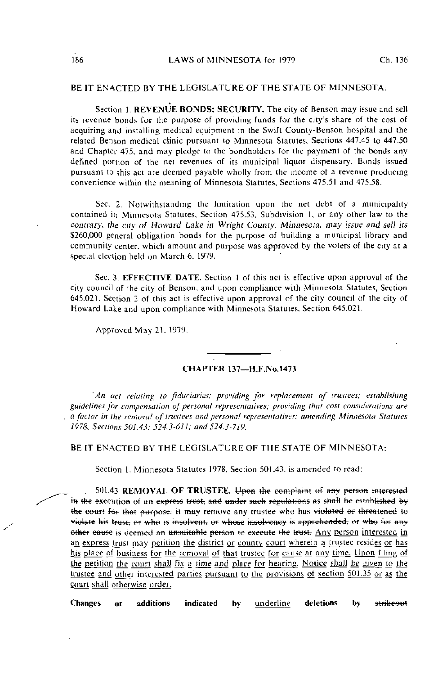## BE IT ENACTED BY THE LEGISLATURE OF THE STATE OF MINNESOTA:

Section 1. REVENUE BONDS; SECURITY. The city of Benson may issue and sell its revenue bonds for the purpose of providing funds for the city's share of the cost of acquiring and installing medical equipment in the Swift County-Benson hospital and the related Benson medical clinic pursuant to Minnesota Statutes, Sections 447.45 to 447.50 and Chapter 475, and may pledge to the bondholders for the payment of the bonds any defined portion of the net revenues of its municipal liquor dispensary. Bonds issued pursuant to this act are deemed payable wholly from the income of a revenue producing convenience within the meaning of Minnesota Statutes, Sections 475.51 and 475.58.

Sec. 2. Notwithstanding the limitaiion upon the net debt of a municipality contained in Minnesota Statutes, Section 475.53, Subdivision 1, or any other law to the contrary, the city of Howard Lake in Wright County, Minnesota, may issue and sell its \$260,000 general obligation bonds for the purpose of building a municipal library and community center, which amount and purpose was approved by the voters of the city at a special election held on March 6, 1979.

Sec. 3. EFFECTIVE DATE. Section I of this act is effective upon approval of the city council of the city of Benson, and upon compliance with Minnesota Statutes, Section 645.021. Section 2 of this act is effective upon approval of the city council of the city of Howard Lake and upon compliance with Minnesota Statutes, Section 645.021.

Approved May 21. 1979.

## CHAPTER 137—H.F.No. 1473

'An act relating to fiduciaries; providing for replacement of trustees; establishing guidelines ffir compensation of personal representatives; providing thai cost considerations are a factor in the removal of trustees and personal representatives; amending Minnesota Statutes 1978, Sections 501.43; 524.3-611; and 524.3-719.

BE IT ENACTED BY THE LEGISLATURE OF THE STATE OF MINNESOTA:

Section 1. Minnesota Statutes 1978, Section 501.43. is amended to read:

501.43 REMOVAL OF TRUSTEE. Upon the complaint of any person interested in the execution of an express trust, and under such regulations as shall be established by the court for that purpose, it may remove any trustee who has violated or threatened to violate his trust, or who is insolvent, or whose insolvency is apprehended, or who for any other cause is deemed an unsuitable person to execute the trust. Any person interested in an express trust may petition the district or county court wherein a trustee resides or has his place of business for the removal of that trustee for cause at any time. Upon filing of the petition the court shall fix a time and place for hearing. Notice shall he given to the trustee and other interested parties pursuant to the provisions of section 501.35 or as the court shall otherwise order.

Changes or additions indicated by underline deletionsby <del>strikeout</del>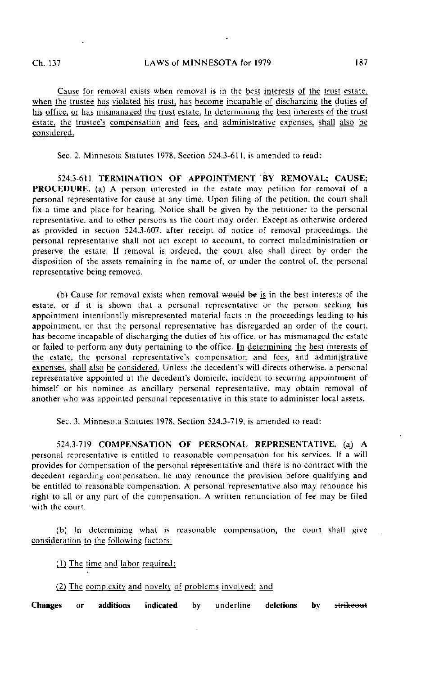Cause for removal exists when removal is in the best interests of the trust estate, when the trustee has violated his trust, has become incapable of discharging the duties of his office, or has mismanaged the trust estate. In determining the best interests of the trust estate, the trustee's compensation and fees, and administrative expenses, shall also be considered.

Sec. 2. Minnesota Statutes 1978. Section 524.3-611, is amended to read:

524.3-611 TERMINATION OF APPOINTMENT BY REMOVAL: CAUSE: PROCEDURE, (a) A person interested in the estate may petition for removal of a personal representative for cause at any time. Upon filing of the petition, ihe court shall fix a time and place for hearing. Notice shall be given by the petiiioner to the personal representative, and to other persons as the court may order. Except as otherwise ordered as provided in section 524.3-607. after receipt of notice of removal proceedings, the personal representative shall not act except to account, to correct maladministration or preserve the estate. If removal is ordered, the court also shall direct by order the disposition of the assets remaining in the name of, or under the control of. the personal representative being removed.

(b) Cause for removal exists when removal would be is in the best interests of the estate, or if it is shown that a personal representative or the person seeking his appointment intentionally misrepresented material facts in the proceedings leading to his appointment, or that the personal representative has disregarded an order of the court, has become incapable of discharging the duties of his office, or has mismanaged the estate or failed to perform any duty pertaining to the office, hi determining the best interests of the estate, the personal representative's compensation and fees, and administrative expenses, shall also be considered. Unless the decedent's will directs otherwise, a personal representative appointed at the decedent's domicile, incident to securing appointment of himself or his nominee as ancillary personal representative, may obtain removal of another who was appointed personal representative in this state to administer local assets.

Sec. 3. Minnesota Statutes 1978. Section 524.3-719. is amended to read:

5243-719 COMPENSATION OF PERSONAL REPRESENTATIVE, (a) A personal representative is entitled to reasonable compensation for his services. If a will provides for compensation of the personal representative and there is no contract with the decedent regarding compensation, he may renounce the provision before qualifying and be entitled to reasonable compensation. A personal representative also may renounce his right to all or any part of the compensation. A written renunciation of fee may be filed with the court.

(b) In determining what is reasonable compensation, the court shall give consideration to the following factors:

(1) The time and labor required;

(2) The complexity and novelty of problems involved; and

Changes or additions indicated by underline deletions by strikeout